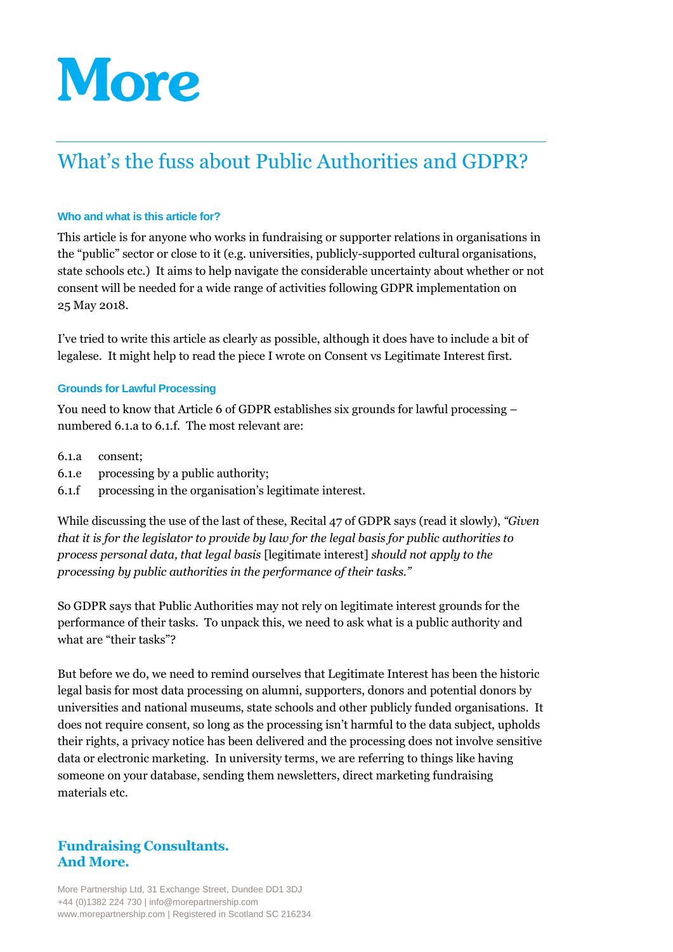# **More**

# What's the fuss about Public Authorities and GDPR?

# **Who and what is this article for?**

This article is for anyone who works in fundraising or supporter relations in organisations in the "public" sector or close to it (e.g. universities, publicly-supported cultural organisations, state schools etc.) It aims to help navigate the considerable uncertainty about whether or not consent will be needed for a wide range of activities following GDPR implementation on 25 May 2018.

I've tried to write this article as clearly as possible, although it does have to include a bit of legalese. It might help to read the piece I wrote on Consent vs Legitimate Interest first.

# **Grounds for Lawful Processing**

You need to know that Article 6 of GDPR establishes six grounds for lawful processing – numbered 6.1.a to 6.1.f. The most relevant are:

- 6.1.a consent;
- 6.1.e processing by a public authority;
- 6.1.f processing in the organisation's legitimate interest.

While discussing the use of the last of these, Recital 47 of GDPR says (read it slowly), *"Given that it is for the legislator to provide by law for the legal basis for public authorities to process personal data, that legal basis* [legitimate interest] *should not apply to the processing by public authorities in the performance of their tasks."*

So GDPR says that Public Authorities may not rely on legitimate interest grounds for the performance of their tasks. To unpack this, we need to ask what is a public authority and what are "their tasks"?

But before we do, we need to remind ourselves that Legitimate Interest has been the historic legal basis for most data processing on alumni, supporters, donors and potential donors by universities and national museums, state schools and other publicly funded organisations. It does not require consent, so long as the processing isn't harmful to the data subject, upholds their rights, a privacy notice has been delivered and the processing does not involve sensitive data or electronic marketing. In university terms, we are referring to things like having someone on your database, sending them newsletters, direct marketing fundraising materials etc.

# **Fundraising Consultants. And More.**

More Partnership Ltd, 31 Exchange Street, Dundee DD1 3DJ +44 (0)1382 224 730 | info@morepartnership.com www.morepartnership.com | Registered in Scotland SC 216234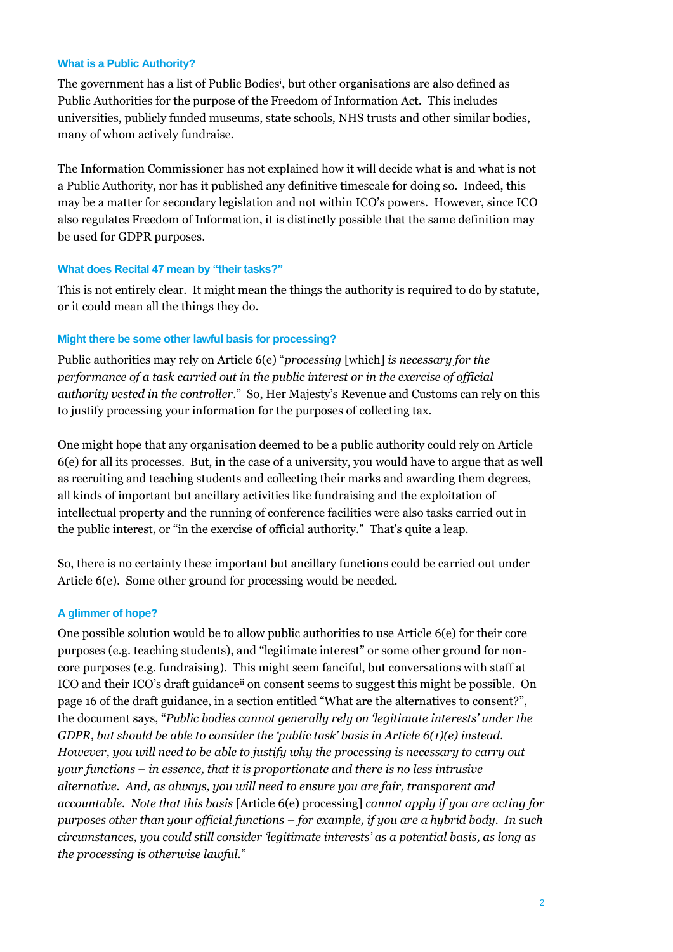#### **What is a Public Authority?**

The government has a list of Public Bodies<sup>i</sup> , but other organisations are also defined as Public Authorities for the purpose of the Freedom of Information Act. This includes universities, publicly funded museums, state schools, NHS trusts and other similar bodies, many of whom actively fundraise.

The Information Commissioner has not explained how it will decide what is and what is not a Public Authority, nor has it published any definitive timescale for doing so. Indeed, this may be a matter for secondary legislation and not within ICO's powers. However, since ICO also regulates Freedom of Information, it is distinctly possible that the same definition may be used for GDPR purposes.

#### **What does Recital 47 mean by "their tasks?"**

This is not entirely clear. It might mean the things the authority is required to do by statute, or it could mean all the things they do.

#### **Might there be some other lawful basis for processing?**

Public authorities may rely on Article 6(e) "*processing* [which] *is necessary for the performance of a task carried out in the public interest or in the exercise of official authority vested in the controller*." So, Her Majesty's Revenue and Customs can rely on this to justify processing your information for the purposes of collecting tax.

One might hope that any organisation deemed to be a public authority could rely on Article 6(e) for all its processes. But, in the case of a university, you would have to argue that as well as recruiting and teaching students and collecting their marks and awarding them degrees, all kinds of important but ancillary activities like fundraising and the exploitation of intellectual property and the running of conference facilities were also tasks carried out in the public interest, or "in the exercise of official authority." That's quite a leap.

So, there is no certainty these important but ancillary functions could be carried out under Article 6(e). Some other ground for processing would be needed.

# **A glimmer of hope?**

One possible solution would be to allow public authorities to use Article 6(e) for their core purposes (e.g. teaching students), and "legitimate interest" or some other ground for noncore purposes (e.g. fundraising). This might seem fanciful, but conversations with staff at ICO and their ICO's draft guidanceii on consent seems to suggest this might be possible. On page 16 of the draft guidance, in a section entitled "What are the alternatives to consent?", the document says, "*Public bodies cannot generally rely on 'legitimate interests' under the GDPR, but should be able to consider the 'public task' basis in Article 6(1)(e) instead. However, you will need to be able to justify why the processing is necessary to carry out your functions – in essence, that it is proportionate and there is no less intrusive alternative. And, as always, you will need to ensure you are fair, transparent and accountable. Note that this basis* [Article 6(e) processing] *cannot apply if you are acting for purposes other than your official functions – for example, if you are a hybrid body. In such circumstances, you could still consider 'legitimate interests' as a potential basis, as long as the processing is otherwise lawful.*"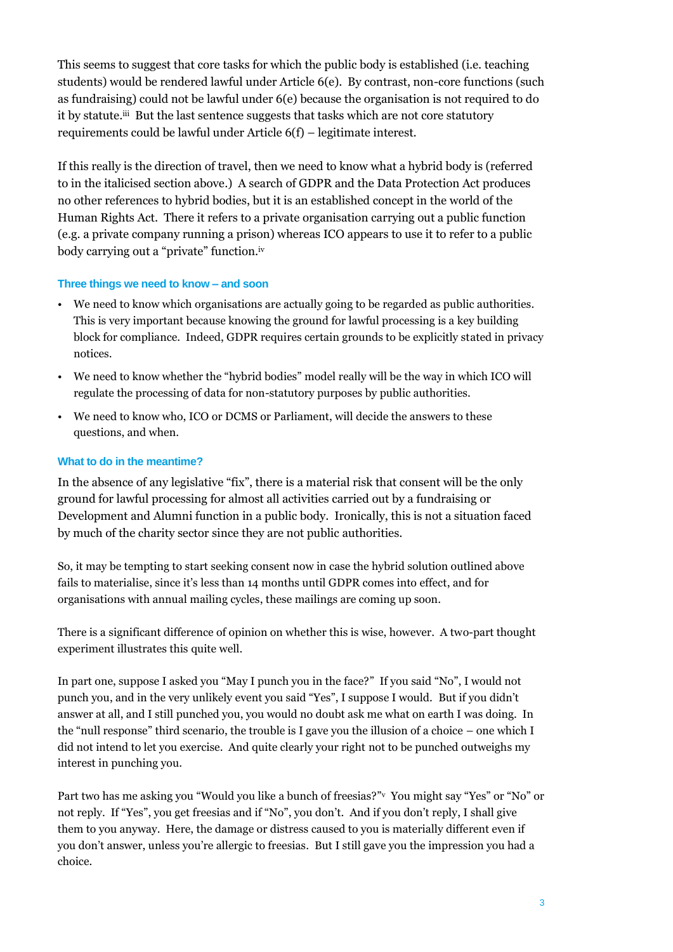This seems to suggest that core tasks for which the public body is established (i.e. teaching students) would be rendered lawful under Article 6(e). By contrast, non-core functions (such as fundraising) could not be lawful under 6(e) because the organisation is not required to do it by statute.<sup>iii</sup> But the last sentence suggests that tasks which are not core statutory requirements could be lawful under Article 6(f) – legitimate interest.

If this really is the direction of travel, then we need to know what a hybrid body is (referred to in the italicised section above.) A search of GDPR and the Data Protection Act produces no other references to hybrid bodies, but it is an established concept in the world of the Human Rights Act. There it refers to a private organisation carrying out a public function (e.g. a private company running a prison) whereas ICO appears to use it to refer to a public body carrying out a "private" function.iv

# **Three things we need to know – and soon**

- We need to know which organisations are actually going to be regarded as public authorities. This is very important because knowing the ground for lawful processing is a key building block for compliance. Indeed, GDPR requires certain grounds to be explicitly stated in privacy notices.
- We need to know whether the "hybrid bodies" model really will be the way in which ICO will regulate the processing of data for non-statutory purposes by public authorities.
- We need to know who, ICO or DCMS or Parliament, will decide the answers to these questions, and when.

# **What to do in the meantime?**

In the absence of any legislative "fix", there is a material risk that consent will be the only ground for lawful processing for almost all activities carried out by a fundraising or Development and Alumni function in a public body. Ironically, this is not a situation faced by much of the charity sector since they are not public authorities.

So, it may be tempting to start seeking consent now in case the hybrid solution outlined above fails to materialise, since it's less than 14 months until GDPR comes into effect, and for organisations with annual mailing cycles, these mailings are coming up soon.

There is a significant difference of opinion on whether this is wise, however. A two-part thought experiment illustrates this quite well.

In part one, suppose I asked you "May I punch you in the face?" If you said "No", I would not punch you, and in the very unlikely event you said "Yes", I suppose I would. But if you didn't answer at all, and I still punched you, you would no doubt ask me what on earth I was doing. In the "null response" third scenario, the trouble is I gave you the illusion of a choice – one which I did not intend to let you exercise. And quite clearly your right not to be punched outweighs my interest in punching you.

Part two has me asking you "Would you like a bunch of freesias?" You might say "Yes" or "No" or not reply. If "Yes", you get freesias and if "No", you don't. And if you don't reply, I shall give them to you anyway. Here, the damage or distress caused to you is materially different even if you don't answer, unless you're allergic to freesias. But I still gave you the impression you had a choice.